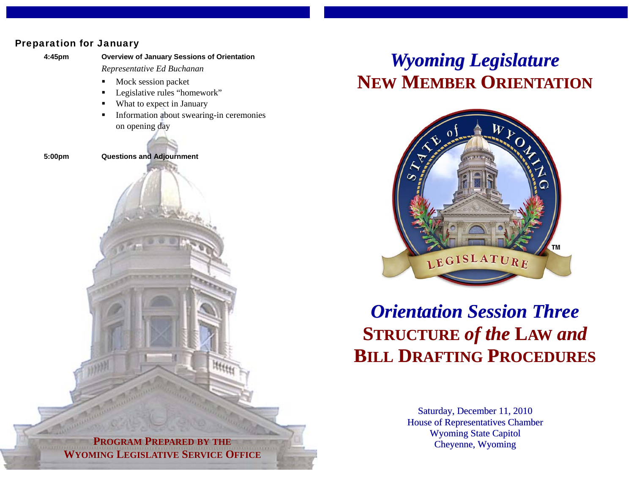## Preparation for January



## *Wyoming Legislature* **NEW MEMBER ORIENTATION**



## *Orientation Session Three***STRUCTURE** *of the* **LAW** *and* **BILL DRAFTING PROCEDURES**

Saturday, December 11, 2010 House of Representatives Chamber Wyoming State Capitol Cheyenne, Wyoming